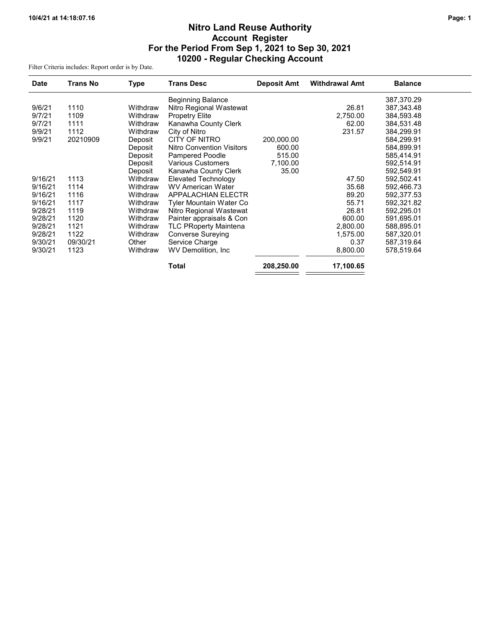# Nitro Land Reuse Authority Account Register For the Period From Sep 1, 2021 to Sep 30, 2021 10200 - Regular Checking Account

Filter Criteria includes: Report order is by Date.

| <b>Date</b> | <b>Trans No</b> | Type     | <b>Trans Desc</b>                | <b>Deposit Amt</b> | <b>Withdrawal Amt</b> | <b>Balance</b> |
|-------------|-----------------|----------|----------------------------------|--------------------|-----------------------|----------------|
|             |                 |          | <b>Beginning Balance</b>         |                    |                       | 387,370.29     |
| 9/6/21      | 1110            | Withdraw | Nitro Regional Wastewat          |                    | 26.81                 | 387,343.48     |
| 9/7/21      | 1109            | Withdraw | <b>Propetry Elite</b>            |                    | 2,750.00              | 384,593.48     |
| 9/7/21      | 1111            | Withdraw | Kanawha County Clerk             |                    | 62.00                 | 384,531.48     |
| 9/9/21      | 1112            | Withdraw | City of Nitro                    |                    | 231.57                | 384,299.91     |
| 9/9/21      | 20210909        | Deposit  | CITY OF NITRO                    | 200,000.00         |                       | 584,299.91     |
|             |                 | Deposit  | <b>Nitro Convention Visitors</b> | 600.00             |                       | 584,899.91     |
|             |                 | Deposit  | <b>Pampered Poodle</b>           | 515.00             |                       | 585,414.91     |
|             |                 | Deposit  | <b>Various Customers</b>         | 7,100.00           |                       | 592,514.91     |
|             |                 | Deposit  | Kanawha County Clerk             | 35.00              |                       | 592,549.91     |
| 9/16/21     | 1113            | Withdraw | Elevated Technology              |                    | 47.50                 | 592,502.41     |
| 9/16/21     | 1114            | Withdraw | WV American Water                |                    | 35.68                 | 592,466.73     |
| 9/16/21     | 1116            | Withdraw | <b>APPALACHIAN ELECTR</b>        |                    | 89.20                 | 592,377.53     |
| 9/16/21     | 1117            | Withdraw | Tyler Mountain Water Co          |                    | 55.71                 | 592,321.82     |
| 9/28/21     | 1119            | Withdraw | Nitro Regional Wastewat          |                    | 26.81                 | 592,295.01     |
| 9/28/21     | 1120            | Withdraw | Painter appraisals & Con         |                    | 600.00                | 591,695.01     |
| 9/28/21     | 1121            | Withdraw | <b>TLC PRoperty Maintena</b>     |                    | 2,800.00              | 588,895.01     |
| 9/28/21     | 1122            | Withdraw | <b>Converse Sureying</b>         |                    | 1,575.00              | 587,320.01     |
| 9/30/21     | 09/30/21        | Other    | Service Charge                   |                    | 0.37                  | 587,319.64     |
| 9/30/21     | 1123            | Withdraw | WV Demolition, Inc.              |                    | 8,800.00              | 578,519.64     |
|             |                 |          | <b>Total</b>                     | 208,250.00         | 17,100.65             |                |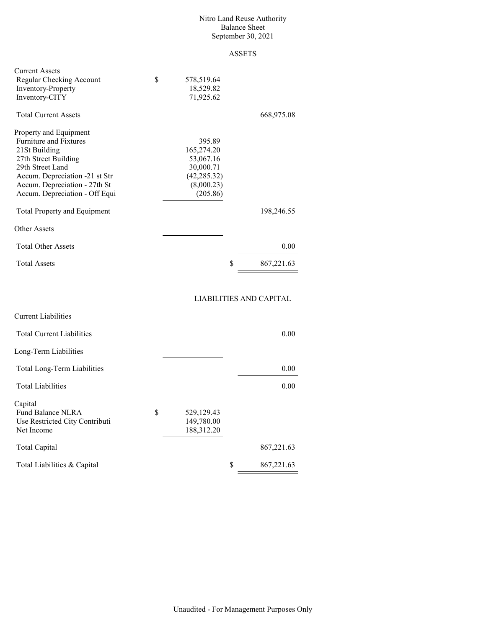#### Nitro Land Reuse Authority Balance Sheet September 30, 2021

## ASSETS

| <b>Current Assets</b><br>Regular Checking Account<br><b>Inventory-Property</b><br>Inventory-CITY | \$<br>578,519.64<br>18,529.82<br>71,925.62 |                  |
|--------------------------------------------------------------------------------------------------|--------------------------------------------|------------------|
| <b>Total Current Assets</b>                                                                      |                                            | 668,975.08       |
| Property and Equipment                                                                           |                                            |                  |
| <b>Furniture and Fixtures</b>                                                                    | 395.89                                     |                  |
| 21St Building                                                                                    | 165,274.20                                 |                  |
| 27th Street Building                                                                             | 53,067.16                                  |                  |
| 29th Street Land                                                                                 | 30,000.71                                  |                  |
| Accum. Depreciation -21 st Str                                                                   | (42, 285.32)                               |                  |
| Accum. Depreciation - 27th St                                                                    | (8,000.23)                                 |                  |
| Accum. Depreciation - Off Equi                                                                   | (205.86)                                   |                  |
| <b>Total Property and Equipment</b>                                                              |                                            | 198,246.55       |
| <b>Other Assets</b>                                                                              |                                            |                  |
| <b>Total Other Assets</b>                                                                        |                                            | 0.00             |
| <b>Total Assets</b>                                                                              |                                            | \$<br>867,221.63 |

## LIABILITIES AND CAPITAL

| <b>Current Liabilities</b>       |            |                 |
|----------------------------------|------------|-----------------|
| <b>Total Current Liabilities</b> |            | 0.00            |
| Long-Term Liabilities            |            |                 |
| Total Long-Term Liabilities      |            | 0.00            |
| <b>Total Liabilities</b>         |            | 0.00            |
| Capital                          |            |                 |
| \$<br>Fund Balance NLRA          | 529,129.43 |                 |
| Use Restricted City Contributi   | 149,780.00 |                 |
| Net Income                       | 188,312.20 |                 |
| Total Capital                    |            | 867,221.63      |
| Total Liabilities & Capital      |            | S<br>867,221.63 |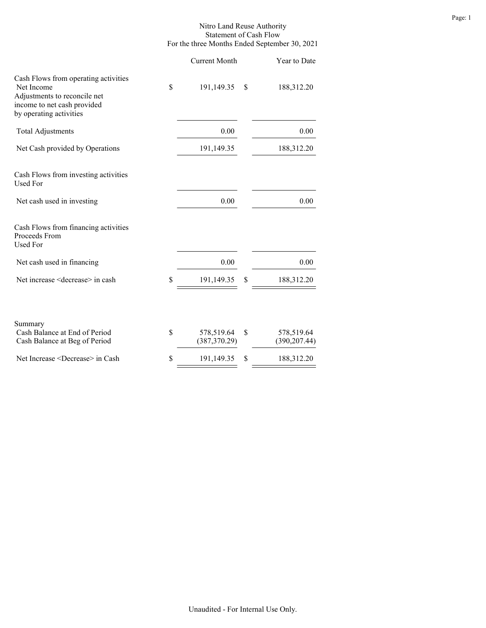### Nitro Land Reuse Authority Statement of Cash Flow For the three Months Ended September 30, 2021

| <b>Current Month</b>              | Year to Date                      |  |
|-----------------------------------|-----------------------------------|--|
| \$<br>191,149.35                  | \$<br>188,312.20                  |  |
| 0.00                              | 0.00                              |  |
| 191,149.35                        | 188,312.20                        |  |
|                                   |                                   |  |
| 0.00                              | 0.00                              |  |
|                                   |                                   |  |
| 0.00                              | 0.00                              |  |
| \$<br>191,149.35                  | \$<br>188,312.20                  |  |
| \$<br>578,519.64<br>(387, 370.29) | \$<br>578,519.64<br>(390, 207.44) |  |
| \$<br>191,149.35                  | \$<br>188,312.20                  |  |
|                                   |                                   |  |